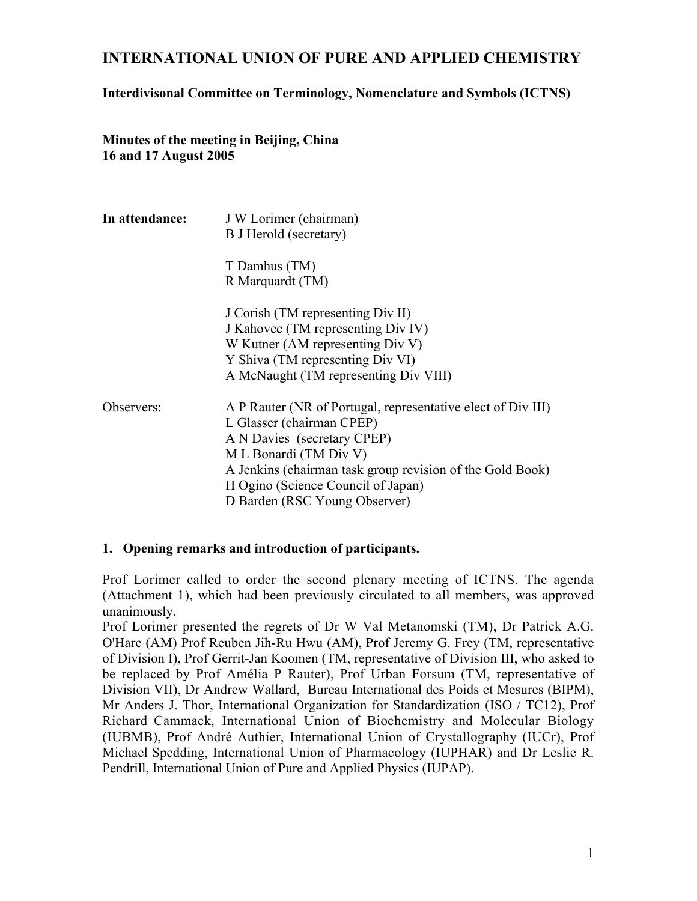# INTERNATIONAL UNION OF PURE AND APPLIED CHEMISTRY

## Interdivisonal Committee on Terminology, Nomenclature and Symbols (ICTNS)

Minutes of the meeting in Beijing, China 16 and 17 August 2005

| In attendance: | J W Lorimer (chairman)<br>B J Herold (secretary)                                                                                                                                                                                                                                       |  |
|----------------|----------------------------------------------------------------------------------------------------------------------------------------------------------------------------------------------------------------------------------------------------------------------------------------|--|
|                | T Damhus (TM)<br>R Marquardt (TM)                                                                                                                                                                                                                                                      |  |
|                | J Corish (TM representing Div II)<br>J Kahovec (TM representing Div IV)<br>W Kutner (AM representing Div V)<br>Y Shiva (TM representing Div VI)<br>A McNaught (TM representing Div VIII)                                                                                               |  |
| Observers:     | A P Rauter (NR of Portugal, representative elect of Div III)<br>L Glasser (chairman CPEP)<br>A N Davies (secretary CPEP)<br>M L Bonardi (TM Div V)<br>A Jenkins (chairman task group revision of the Gold Book)<br>H Ogino (Science Council of Japan)<br>D Barden (RSC Young Observer) |  |

### 1. Opening remarks and introduction of participants.

Prof Lorimer called to order the second plenary meeting of ICTNS. The agenda (Attachment 1), which had been previously circulated to all members, was approved unanimously.

Prof Lorimer presented the regrets of Dr W Val Metanomski (TM), Dr Patrick A.G. O'Hare (AM) Prof Reuben Jih-Ru Hwu (AM), Prof Jeremy G. Frey (TM, representative of Division I), Prof Gerrit-Jan Koomen (TM, representative of Division III, who asked to be replaced by Prof Amélia P Rauter), Prof Urban Forsum (TM, representative of Division VII), Dr Andrew Wallard, Bureau International des Poids et Mesures (BIPM), Mr Anders J. Thor, International Organization for Standardization (ISO / TC12), Prof Richard Cammack, International Union of Biochemistry and Molecular Biology (IUBMB), Prof André Authier, International Union of Crystallography (IUCr), Prof Michael Spedding, International Union of Pharmacology (IUPHAR) and Dr Leslie R. Pendrill, International Union of Pure and Applied Physics (IUPAP).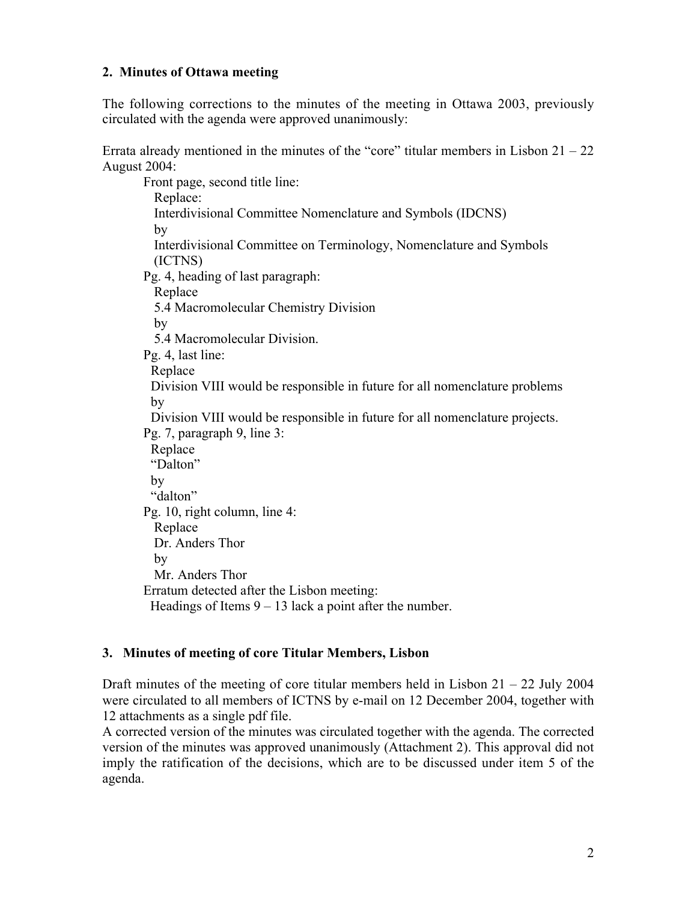## 2. Minutes of Ottawa meeting

The following corrections to the minutes of the meeting in Ottawa 2003, previously circulated with the agenda were approved unanimously:

Errata already mentioned in the minutes of the "core" titular members in Lisbon  $21 - 22$ August 2004:

Front page, second title line: Replace: Interdivisional Committee Nomenclature and Symbols (IDCNS) by Interdivisional Committee on Terminology, Nomenclature and Symbols (ICTNS) Pg. 4, heading of last paragraph: Replace 5.4 Macromolecular Chemistry Division by 5.4 Macromolecular Division. Pg. 4, last line: Replace Division VIII would be responsible in future for all nomenclature problems by Division VIII would be responsible in future for all nomenclature projects. Pg. 7, paragraph 9, line 3: Replace "Dalton" by "dalton" Pg. 10, right column, line 4: Replace Dr. Anders Thor by Mr. Anders Thor Erratum detected after the Lisbon meeting: Headings of Items  $9 - 13$  lack a point after the number.

## 3. Minutes of meeting of core Titular Members, Lisbon

Draft minutes of the meeting of core titular members held in Lisbon  $21 - 22$  July 2004 were circulated to all members of ICTNS by e-mail on 12 December 2004, together with 12 attachments as a single pdf file.

A corrected version of the minutes was circulated together with the agenda. The corrected version of the minutes was approved unanimously (Attachment 2). This approval did not imply the ratification of the decisions, which are to be discussed under item 5 of the agenda.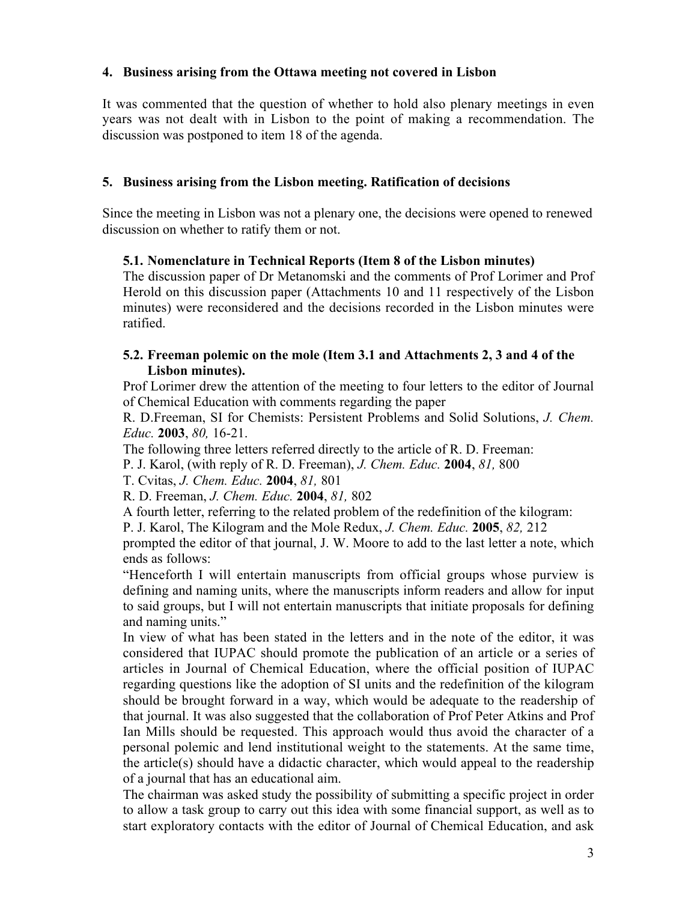## 4. Business arising from the Ottawa meeting not covered in Lisbon

It was commented that the question of whether to hold also plenary meetings in even years was not dealt with in Lisbon to the point of making a recommendation. The discussion was postponed to item 18 of the agenda.

### 5. Business arising from the Lisbon meeting. Ratification of decisions

Since the meeting in Lisbon was not a plenary one, the decisions were opened to renewed discussion on whether to ratify them or not.

### 5.1. Nomenclature in Technical Reports (Item 8 of the Lisbon minutes)

The discussion paper of Dr Metanomski and the comments of Prof Lorimer and Prof Herold on this discussion paper (Attachments 10 and 11 respectively of the Lisbon minutes) were reconsidered and the decisions recorded in the Lisbon minutes were ratified.

### 5.2. Freeman polemic on the mole (Item 3.1 and Attachments 2, 3 and 4 of the Lisbon minutes).

Prof Lorimer drew the attention of the meeting to four letters to the editor of Journal of Chemical Education with comments regarding the paper

R. D.Freeman, SI for Chemists: Persistent Problems and Solid Solutions, *J. Chem. Educ.* 2003, *80,* 16-21.

The following three letters referred directly to the article of R. D. Freeman:

P. J. Karol, (with reply of R. D. Freeman), *J. Chem. Educ.* 2004, *81,* 800

T. Cvitas, *J. Chem. Educ.* 2004, *81,* 801

R. D. Freeman, *J. Chem. Educ.* 2004, *81,* 802

A fourth letter, referring to the related problem of the redefinition of the kilogram:

P. J. Karol, The Kilogram and the Mole Redux, *J. Chem. Educ.* 2005, *82,* 212

prompted the editor of that journal, J. W. Moore to add to the last letter a note, which ends as follows:

"Henceforth I will entertain manuscripts from official groups whose purview is defining and naming units, where the manuscripts inform readers and allow for input to said groups, but I will not entertain manuscripts that initiate proposals for defining and naming units."

In view of what has been stated in the letters and in the note of the editor, it was considered that IUPAC should promote the publication of an article or a series of articles in Journal of Chemical Education, where the official position of IUPAC regarding questions like the adoption of SI units and the redefinition of the kilogram should be brought forward in a way, which would be adequate to the readership of that journal. It was also suggested that the collaboration of Prof Peter Atkins and Prof Ian Mills should be requested. This approach would thus avoid the character of a personal polemic and lend institutional weight to the statements. At the same time, the article(s) should have a didactic character, which would appeal to the readership of a journal that has an educational aim.

The chairman was asked study the possibility of submitting a specific project in order to allow a task group to carry out this idea with some financial support, as well as to start exploratory contacts with the editor of Journal of Chemical Education, and ask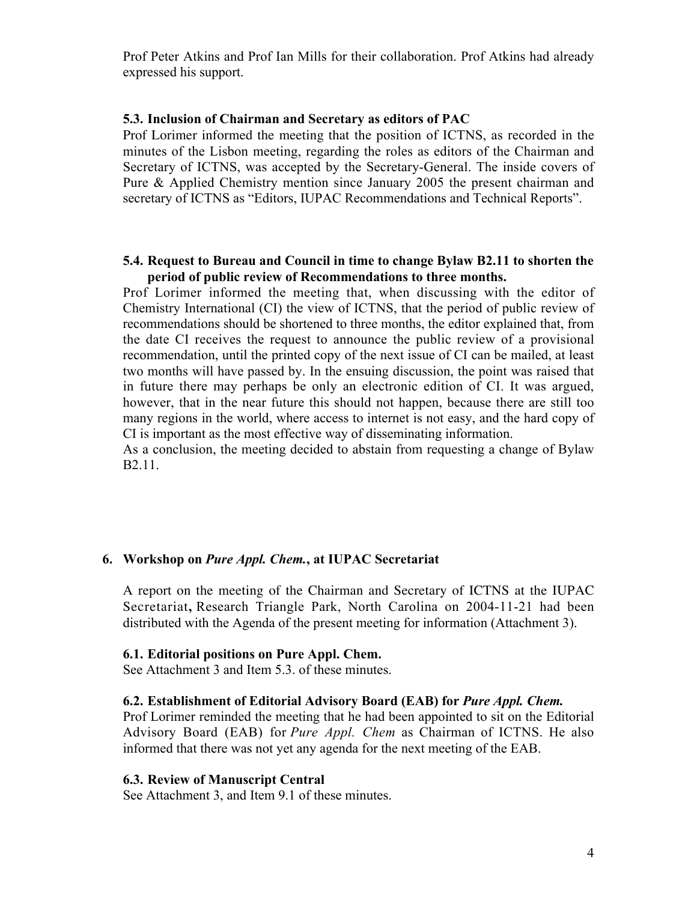Prof Peter Atkins and Prof Ian Mills for their collaboration. Prof Atkins had already expressed his support.

#### 5.3. Inclusion of Chairman and Secretary as editors of PAC

Prof Lorimer informed the meeting that the position of ICTNS, as recorded in the minutes of the Lisbon meeting, regarding the roles as editors of the Chairman and Secretary of ICTNS, was accepted by the Secretary-General. The inside covers of Pure & Applied Chemistry mention since January 2005 the present chairman and secretary of ICTNS as "Editors, IUPAC Recommendations and Technical Reports".

#### 5.4. Request to Bureau and Council in time to change Bylaw B2.11 to shorten the period of public review of Recommendations to three months.

Prof Lorimer informed the meeting that, when discussing with the editor of Chemistry International (CI) the view of ICTNS, that the period of public review of recommendations should be shortened to three months, the editor explained that, from the date CI receives the request to announce the public review of a provisional recommendation, until the printed copy of the next issue of CI can be mailed, at least two months will have passed by. In the ensuing discussion, the point was raised that in future there may perhaps be only an electronic edition of CI. It was argued, however, that in the near future this should not happen, because there are still too many regions in the world, where access to internet is not easy, and the hard copy of CI is important as the most effective way of disseminating information.

As a conclusion, the meeting decided to abstain from requesting a change of Bylaw B2.11.

#### 6. Workshop on *Pure Appl. Chem.*, at IUPAC Secretariat

A report on the meeting of the Chairman and Secretary of ICTNS at the IUPAC Secretariat, Research Triangle Park, North Carolina on 2004-11-21 had been distributed with the Agenda of the present meeting for information (Attachment 3).

#### 6.1. Editorial positions on Pure Appl. Chem.

See Attachment 3 and Item 5.3. of these minutes.

#### 6.2. Establishment of Editorial Advisory Board (EAB) for *Pure Appl. Chem.*

Prof Lorimer reminded the meeting that he had been appointed to sit on the Editorial Advisory Board (EAB) for *Pure Appl. Chem* as Chairman of ICTNS. He also informed that there was not yet any agenda for the next meeting of the EAB.

#### 6.3. Review of Manuscript Central

See Attachment 3, and Item 9.1 of these minutes.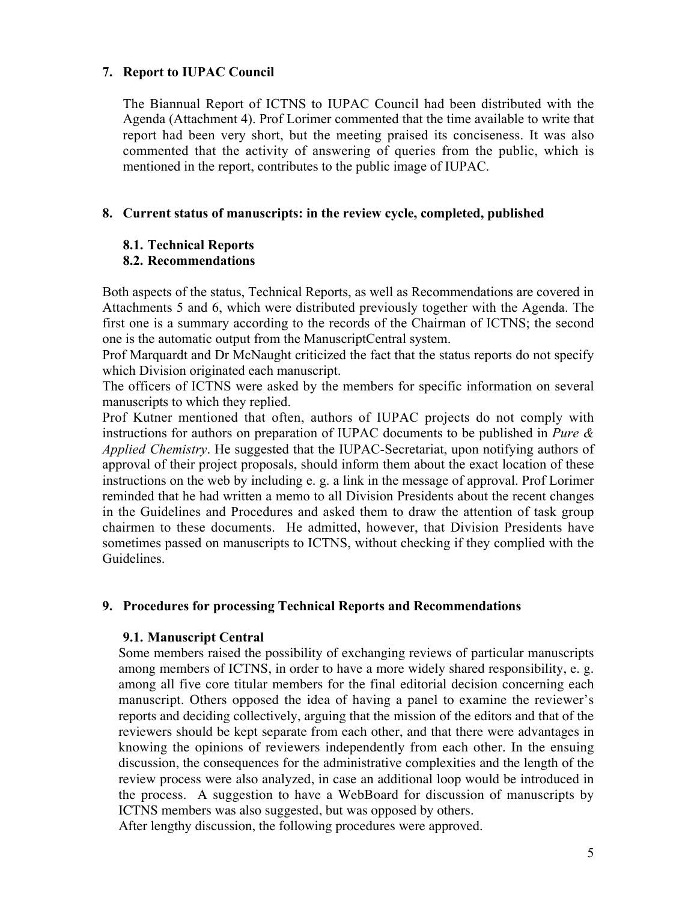### 7. Report to IUPAC Council

The Biannual Report of ICTNS to IUPAC Council had been distributed with the Agenda (Attachment 4). Prof Lorimer commented that the time available to write that report had been very short, but the meeting praised its conciseness. It was also commented that the activity of answering of queries from the public, which is mentioned in the report, contributes to the public image of IUPAC.

### 8. Current status of manuscripts: in the review cycle, completed, published

### 8.1. Technical Reports

### 8.2. Recommendations

Both aspects of the status, Technical Reports, as well as Recommendations are covered in Attachments 5 and 6, which were distributed previously together with the Agenda. The first one is a summary according to the records of the Chairman of ICTNS; the second one is the automatic output from the ManuscriptCentral system.

Prof Marquardt and Dr McNaught criticized the fact that the status reports do not specify which Division originated each manuscript.

The officers of ICTNS were asked by the members for specific information on several manuscripts to which they replied.

Prof Kutner mentioned that often, authors of IUPAC projects do not comply with instructions for authors on preparation of IUPAC documents to be published in *Pure & Applied Chemistry*. He suggested that the IUPAC-Secretariat, upon notifying authors of approval of their project proposals, should inform them about the exact location of these instructions on the web by including e. g. a link in the message of approval. Prof Lorimer reminded that he had written a memo to all Division Presidents about the recent changes in the Guidelines and Procedures and asked them to draw the attention of task group chairmen to these documents. He admitted, however, that Division Presidents have sometimes passed on manuscripts to ICTNS, without checking if they complied with the Guidelines.

### 9. Procedures for processing Technical Reports and Recommendations

### 9.1. Manuscript Central

Some members raised the possibility of exchanging reviews of particular manuscripts among members of ICTNS, in order to have a more widely shared responsibility, e. g. among all five core titular members for the final editorial decision concerning each manuscript. Others opposed the idea of having a panel to examine the reviewer's reports and deciding collectively, arguing that the mission of the editors and that of the reviewers should be kept separate from each other, and that there were advantages in knowing the opinions of reviewers independently from each other. In the ensuing discussion, the consequences for the administrative complexities and the length of the review process were also analyzed, in case an additional loop would be introduced in the process. A suggestion to have a WebBoard for discussion of manuscripts by ICTNS members was also suggested, but was opposed by others.

After lengthy discussion, the following procedures were approved.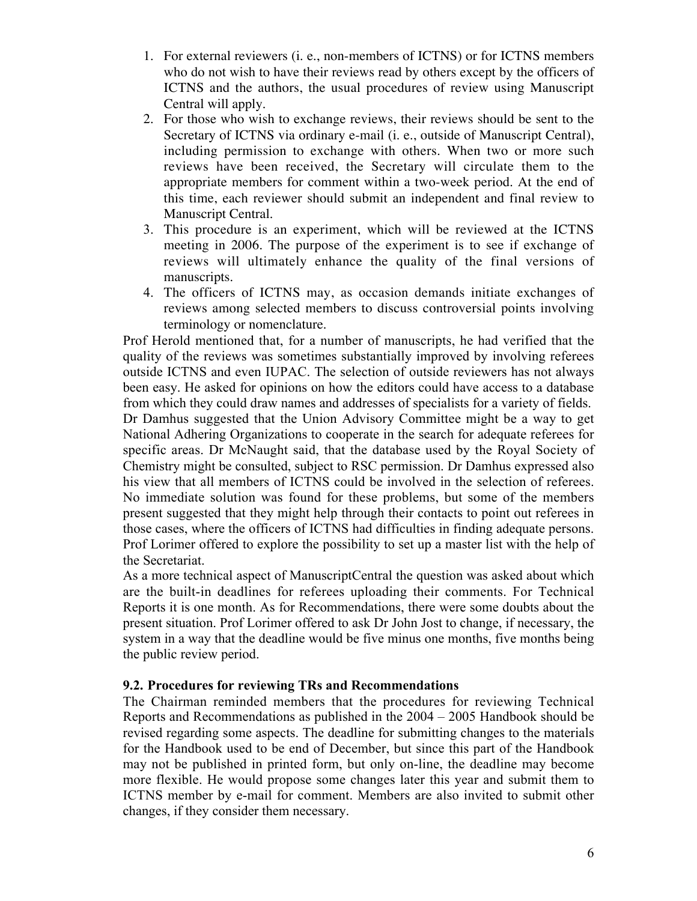- 1. For external reviewers (i. e., non-members of ICTNS) or for ICTNS members who do not wish to have their reviews read by others except by the officers of ICTNS and the authors, the usual procedures of review using Manuscript Central will apply.
- 2. For those who wish to exchange reviews, their reviews should be sent to the Secretary of ICTNS via ordinary e-mail (i. e., outside of Manuscript Central), including permission to exchange with others. When two or more such reviews have been received, the Secretary will circulate them to the appropriate members for comment within a two-week period. At the end of this time, each reviewer should submit an independent and final review to Manuscript Central.
- 3. This procedure is an experiment, which will be reviewed at the ICTNS meeting in 2006. The purpose of the experiment is to see if exchange of reviews will ultimately enhance the quality of the final versions of manuscripts.
- 4. The officers of ICTNS may, as occasion demands initiate exchanges of reviews among selected members to discuss controversial points involving terminology or nomenclature.

Prof Herold mentioned that, for a number of manuscripts, he had verified that the quality of the reviews was sometimes substantially improved by involving referees outside ICTNS and even IUPAC. The selection of outside reviewers has not always been easy. He asked for opinions on how the editors could have access to a database from which they could draw names and addresses of specialists for a variety of fields. Dr Damhus suggested that the Union Advisory Committee might be a way to get National Adhering Organizations to cooperate in the search for adequate referees for specific areas. Dr McNaught said, that the database used by the Royal Society of Chemistry might be consulted, subject to RSC permission. Dr Damhus expressed also his view that all members of ICTNS could be involved in the selection of referees. No immediate solution was found for these problems, but some of the members present suggested that they might help through their contacts to point out referees in those cases, where the officers of ICTNS had difficulties in finding adequate persons. Prof Lorimer offered to explore the possibility to set up a master list with the help of the Secretariat.

As a more technical aspect of ManuscriptCentral the question was asked about which are the built-in deadlines for referees uploading their comments. For Technical Reports it is one month. As for Recommendations, there were some doubts about the present situation. Prof Lorimer offered to ask Dr John Jost to change, if necessary, the system in a way that the deadline would be five minus one months, five months being the public review period.

## 9.2. Procedures for reviewing TRs and Recommendations

The Chairman reminded members that the procedures for reviewing Technical Reports and Recommendations as published in the 2004 – 2005 Handbook should be revised regarding some aspects. The deadline for submitting changes to the materials for the Handbook used to be end of December, but since this part of the Handbook may not be published in printed form, but only on-line, the deadline may become more flexible. He would propose some changes later this year and submit them to ICTNS member by e-mail for comment. Members are also invited to submit other changes, if they consider them necessary.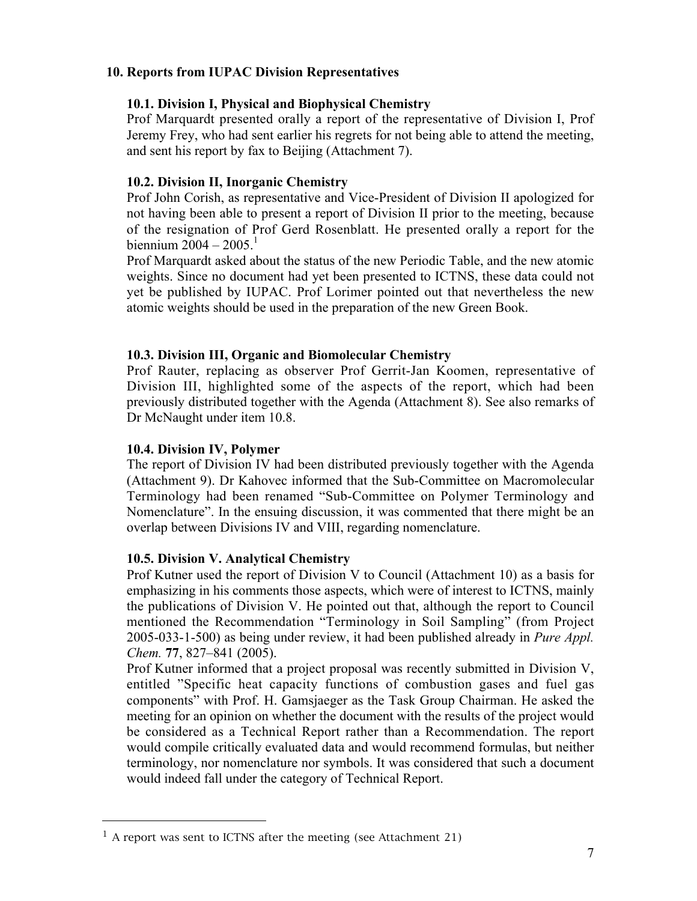## 10. Reports from IUPAC Division Representatives

### 10.1. Division I, Physical and Biophysical Chemistry

Prof Marquardt presented orally a report of the representative of Division I, Prof Jeremy Frey, who had sent earlier his regrets for not being able to attend the meeting, and sent his report by fax to Beijing (Attachment 7).

### 10.2. Division II, Inorganic Chemistry

Prof John Corish, as representative and Vice-President of Division II apologized for not having been able to present a report of Division II prior to the meeting, because of the resignation of Prof Gerd Rosenblatt. He presented orally a report for the biennium  $2004 - 2005$ .<sup>1</sup>

Prof Marquardt asked about the status of the new Periodic Table, and the new atomic weights. Since no document had yet been presented to ICTNS, these data could not yet be published by IUPAC. Prof Lorimer pointed out that nevertheless the new atomic weights should be used in the preparation of the new Green Book.

### 10.3. Division III, Organic and Biomolecular Chemistry

Prof Rauter, replacing as observer Prof Gerrit-Jan Koomen, representative of Division III, highlighted some of the aspects of the report, which had been previously distributed together with the Agenda (Attachment 8). See also remarks of Dr McNaught under item 10.8.

### 10.4. Division IV, Polymer

 $\overline{a}$ 

The report of Division IV had been distributed previously together with the Agenda (Attachment 9). Dr Kahovec informed that the Sub-Committee on Macromolecular Terminology had been renamed "Sub-Committee on Polymer Terminology and Nomenclature". In the ensuing discussion, it was commented that there might be an overlap between Divisions IV and VIII, regarding nomenclature.

### 10.5. Division V. Analytical Chemistry

Prof Kutner used the report of Division V to Council (Attachment 10) as a basis for emphasizing in his comments those aspects, which were of interest to ICTNS, mainly the publications of Division V. He pointed out that, although the report to Council mentioned the Recommendation "Terminology in Soil Sampling" (from Project 2005-033-1-500) as being under review, it had been published already in *Pure Appl. Chem.* 77, 827–841 (2005).

Prof Kutner informed that a project proposal was recently submitted in Division V, entitled "Specific heat capacity functions of combustion gases and fuel gas components" with Prof. H. Gamsjaeger as the Task Group Chairman. He asked the meeting for an opinion on whether the document with the results of the project would be considered as a Technical Report rather than a Recommendation. The report would compile critically evaluated data and would recommend formulas, but neither terminology, nor nomenclature nor symbols. It was considered that such a document would indeed fall under the category of Technical Report.

 $1$  A report was sent to ICTNS after the meeting (see Attachment 21)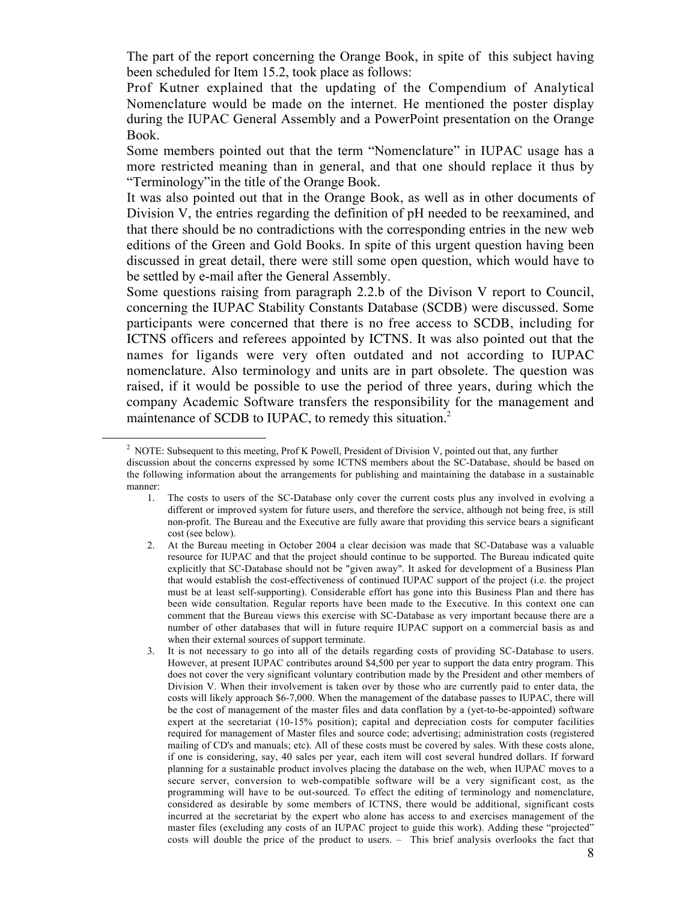The part of the report concerning the Orange Book, in spite of this subject having been scheduled for Item 15.2, took place as follows:

Prof Kutner explained that the updating of the Compendium of Analytical Nomenclature would be made on the internet. He mentioned the poster display during the IUPAC General Assembly and a PowerPoint presentation on the Orange Book.

Some members pointed out that the term "Nomenclature" in IUPAC usage has a more restricted meaning than in general, and that one should replace it thus by "Terminology"in the title of the Orange Book.

It was also pointed out that in the Orange Book, as well as in other documents of Division V, the entries regarding the definition of pH needed to be reexamined, and that there should be no contradictions with the corresponding entries in the new web editions of the Green and Gold Books. In spite of this urgent question having been discussed in great detail, there were still some open question, which would have to be settled by e-mail after the General Assembly.

Some questions raising from paragraph 2.2.b of the Divison V report to Council, concerning the IUPAC Stability Constants Database (SCDB) were discussed. Some participants were concerned that there is no free access to SCDB, including for ICTNS officers and referees appointed by ICTNS. It was also pointed out that the names for ligands were very often outdated and not according to IUPAC nomenclature. Also terminology and units are in part obsolete. The question was raised, if it would be possible to use the period of three years, during which the company Academic Software transfers the responsibility for the management and maintenance of SCDB to IUPAC, to remedy this situation.<sup>2</sup>

<sup>&</sup>lt;sup>2</sup> NOTE: Subsequent to this meeting, Prof K Powell, President of Division V, pointed out that, any further

discussion about the concerns expressed by some ICTNS members about the SC-Database, should be based on the following information about the arrangements for publishing and maintaining the database in a sustainable manner:

<sup>1.</sup> The costs to users of the SC-Database only cover the current costs plus any involved in evolving a different or improved system for future users, and therefore the service, although not being free, is still non-profit. The Bureau and the Executive are fully aware that providing this service bears a significant cost (see below).

<sup>2.</sup> At the Bureau meeting in October 2004 a clear decision was made that SC-Database was a valuable resource for IUPAC and that the project should continue to be supported. The Bureau indicated quite explicitly that SC-Database should not be "given away". It asked for development of a Business Plan that would establish the cost-effectiveness of continued IUPAC support of the project (i.e. the project must be at least self-supporting). Considerable effort has gone into this Business Plan and there has been wide consultation. Regular reports have been made to the Executive. In this context one can comment that the Bureau views this exercise with SC-Database as very important because there are a number of other databases that will in future require IUPAC support on a commercial basis as and when their external sources of support terminate.

<sup>3.</sup> It is not necessary to go into all of the details regarding costs of providing SC-Database to users. However, at present IUPAC contributes around \$4,500 per year to support the data entry program. This does not cover the very significant voluntary contribution made by the President and other members of Division V. When their involvement is taken over by those who are currently paid to enter data, the costs will likely approach \$6-7,000. When the management of the database passes to IUPAC, there will be the cost of management of the master files and data conflation by a (yet-to-be-appointed) software expert at the secretariat (10-15% position); capital and depreciation costs for computer facilities required for management of Master files and source code; advertising; administration costs (registered mailing of CD's and manuals; etc). All of these costs must be covered by sales. With these costs alone, if one is considering, say, 40 sales per year, each item will cost several hundred dollars. If forward planning for a sustainable product involves placing the database on the web, when IUPAC moves to a secure server, conversion to web-compatible software will be a very significant cost, as the programming will have to be out-sourced. To effect the editing of terminology and nomenclature, considered as desirable by some members of ICTNS, there would be additional, significant costs incurred at the secretariat by the expert who alone has access to and exercises management of the master files (excluding any costs of an IUPAC project to guide this work). Adding these "projected" costs will double the price of the product to users. – This brief analysis overlooks the fact that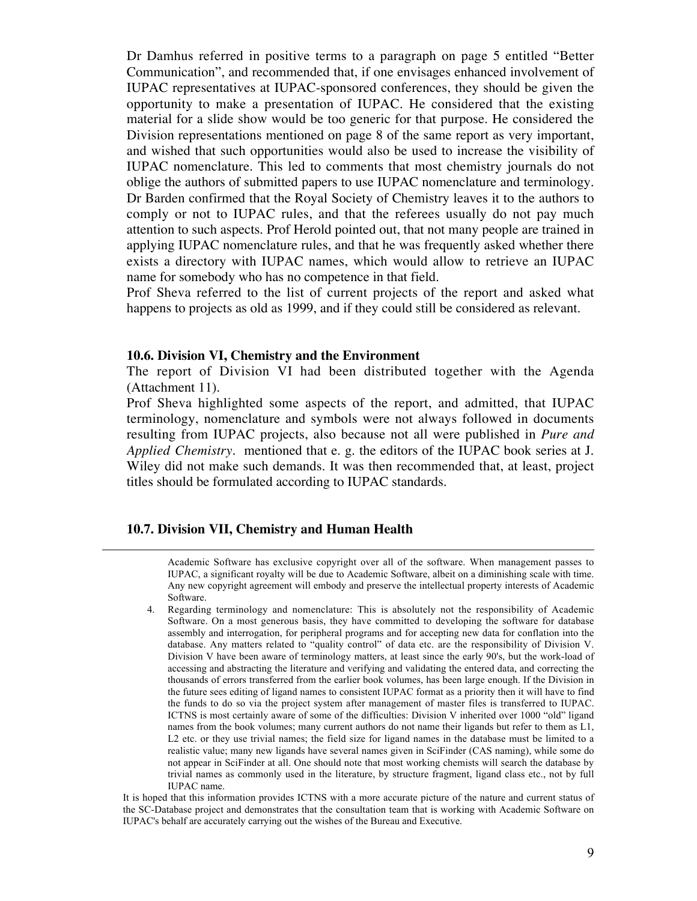Dr Damhus referred in positive terms to a paragraph on page 5 entitled "Better Communication", and recommended that, if one envisages enhanced involvement of IUPAC representatives at IUPAC-sponsored conferences, they should be given the opportunity to make a presentation of IUPAC. He considered that the existing material for a slide show would be too generic for that purpose. He considered the Division representations mentioned on page 8 of the same report as very important, and wished that such opportunities would also be used to increase the visibility of IUPAC nomenclature. This led to comments that most chemistry journals do not oblige the authors of submitted papers to use IUPAC nomenclature and terminology. Dr Barden confirmed that the Royal Society of Chemistry leaves it to the authors to comply or not to IUPAC rules, and that the referees usually do not pay much attention to such aspects. Prof Herold pointed out, that not many people are trained in applying IUPAC nomenclature rules, and that he was frequently asked whether there exists a directory with IUPAC names, which would allow to retrieve an IUPAC name for somebody who has no competence in that field.

Prof Sheva referred to the list of current projects of the report and asked what happens to projects as old as 1999, and if they could still be considered as relevant.

#### **10.6. Division VI, Chemistry and the Environment**

The report of Division VI had been distributed together with the Agenda (Attachment 11).

Prof Sheva highlighted some aspects of the report, and admitted, that IUPAC terminology, nomenclature and symbols were not always followed in documents resulting from IUPAC projects, also because not all were published in *Pure and Applied Chemistry.* mentioned that e. g. the editors of the IUPAC book series at J. Wiley did not make such demands. It was then recommended that, at least, project titles should be formulated according to IUPAC standards.

#### **10.7. Division VII, Chemistry and Human Health**

 $\overline{a}$ 

Academic Software has exclusive copyright over all of the software. When management passes to IUPAC, a significant royalty will be due to Academic Software, albeit on a diminishing scale with time. Any new copyright agreement will embody and preserve the intellectual property interests of Academic Software.

4. Regarding terminology and nomenclature: This is absolutely not the responsibility of Academic Software. On a most generous basis, they have committed to developing the software for database assembly and interrogation, for peripheral programs and for accepting new data for conflation into the database. Any matters related to "quality control" of data etc. are the responsibility of Division V. Division V have been aware of terminology matters, at least since the early 90's, but the work-load of accessing and abstracting the literature and verifying and validating the entered data, and correcting the thousands of errors transferred from the earlier book volumes, has been large enough. If the Division in the future sees editing of ligand names to consistent IUPAC format as a priority then it will have to find the funds to do so via the project system after management of master files is transferred to IUPAC. ICTNS is most certainly aware of some of the difficulties: Division V inherited over 1000 "old" ligand names from the book volumes; many current authors do not name their ligands but refer to them as L1, L2 etc. or they use trivial names; the field size for ligand names in the database must be limited to a realistic value; many new ligands have several names given in SciFinder (CAS naming), while some do not appear in SciFinder at all. One should note that most working chemists will search the database by trivial names as commonly used in the literature, by structure fragment, ligand class etc., not by full IUPAC name.

It is hoped that this information provides ICTNS with a more accurate picture of the nature and current status of the SC-Database project and demonstrates that the consultation team that is working with Academic Software on IUPAC's behalf are accurately carrying out the wishes of the Bureau and Executive.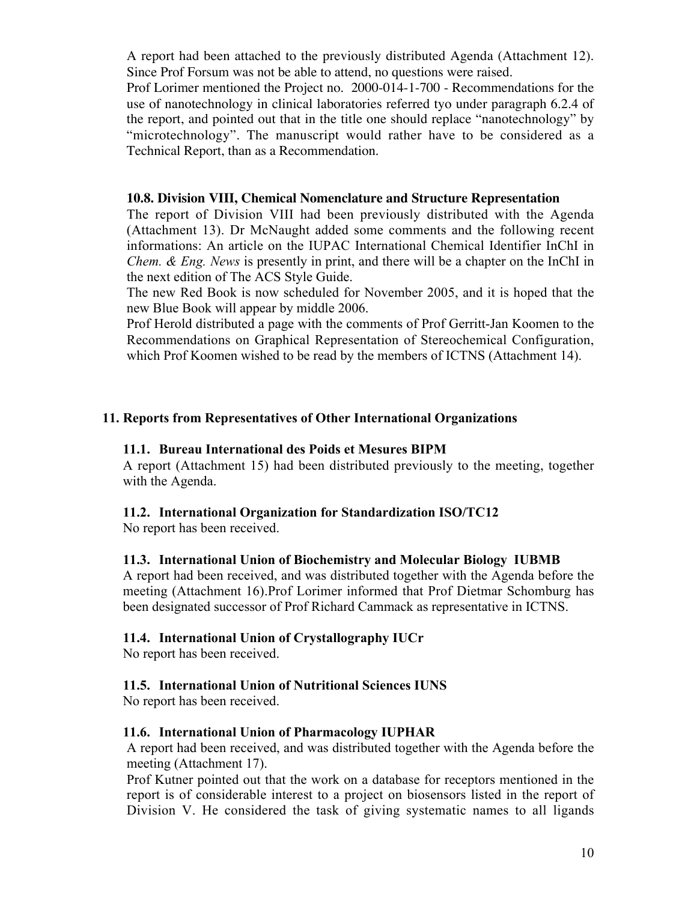A report had been attached to the previously distributed Agenda (Attachment 12). Since Prof Forsum was not be able to attend, no questions were raised.

Prof Lorimer mentioned the Project no. 2000-014-1-700 - Recommendations for the use of nanotechnology in clinical laboratories referred tyo under paragraph 6.2.4 of the report, and pointed out that in the title one should replace "nanotechnology" by "microtechnology". The manuscript would rather have to be considered as a Technical Report, than as a Recommendation.

### **10.8. Division VIII, Chemical Nomenclature and Structure Representation**

The report of Division VIII had been previously distributed with the Agenda (Attachment 13). Dr McNaught added some comments and the following recent informations: An article on the IUPAC International Chemical Identifier InChI in *Chem. & Eng. News* is presently in print, and there will be a chapter on the InChI in the next edition of The ACS Style Guide.

The new Red Book is now scheduled for November 2005, and it is hoped that the new Blue Book will appear by middle 2006.

Prof Herold distributed a page with the comments of Prof Gerritt-Jan Koomen to the Recommendations on Graphical Representation of Stereochemical Configuration, which Prof Koomen wished to be read by the members of ICTNS (Attachment 14).

## 11. Reports from Representatives of Other International Organizations

### 11.1. Bureau International des Poids et Mesures BIPM

A report (Attachment 15) had been distributed previously to the meeting, together with the Agenda.

## 11.2. International Organization for Standardization ISO/TC12

No report has been received.

### 11.3. International Union of Biochemistry and Molecular Biology IUBMB

A report had been received, and was distributed together with the Agenda before the meeting (Attachment 16).Prof Lorimer informed that Prof Dietmar Schomburg has been designated successor of Prof Richard Cammack as representative in ICTNS.

### 11.4. International Union of Crystallography IUCr

No report has been received.

### 11.5. International Union of Nutritional Sciences IUNS

No report has been received.

### 11.6. International Union of Pharmacology IUPHAR

A report had been received, and was distributed together with the Agenda before the meeting (Attachment 17).

Prof Kutner pointed out that the work on a database for receptors mentioned in the report is of considerable interest to a project on biosensors listed in the report of Division V. He considered the task of giving systematic names to all ligands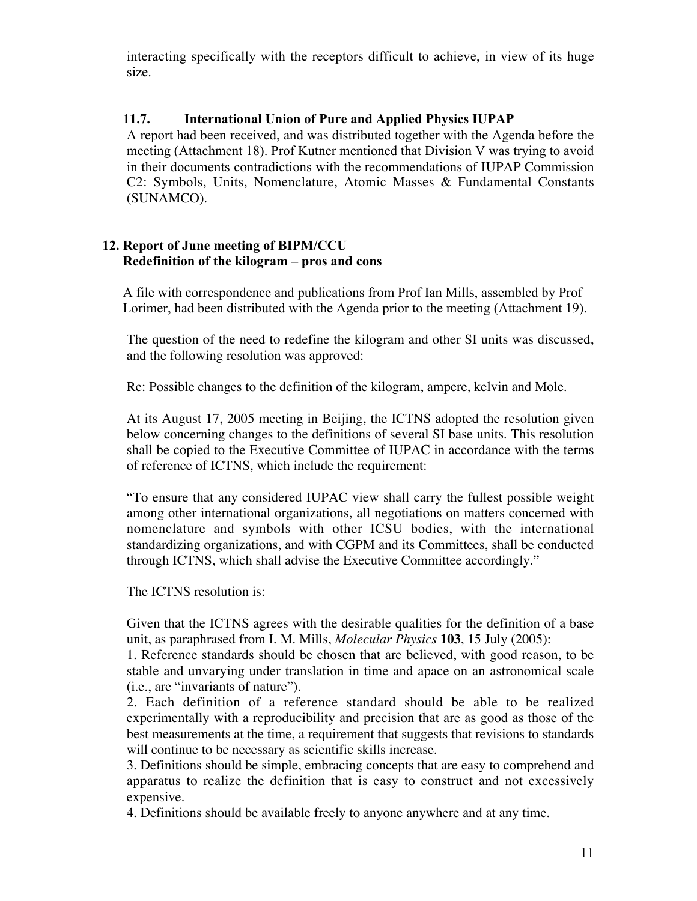interacting specifically with the receptors difficult to achieve, in view of its huge size.

## 11.7. International Union of Pure and Applied Physics IUPAP

A report had been received, and was distributed together with the Agenda before the meeting (Attachment 18). Prof Kutner mentioned that Division V was trying to avoid in their documents contradictions with the recommendations of IUPAP Commission C2: Symbols, Units, Nomenclature, Atomic Masses & Fundamental Constants (SUNAMCO).

### 12. Report of June meeting of BIPM/CCU Redefinition of the kilogram – pros and cons

A file with correspondence and publications from Prof Ian Mills, assembled by Prof Lorimer, had been distributed with the Agenda prior to the meeting (Attachment 19).

The question of the need to redefine the kilogram and other SI units was discussed, and the following resolution was approved:

Re: Possible changes to the definition of the kilogram, ampere, kelvin and Mole.

At its August 17, 2005 meeting in Beijing, the ICTNS adopted the resolution given below concerning changes to the definitions of several SI base units. This resolution shall be copied to the Executive Committee of IUPAC in accordance with the terms of reference of ICTNS, which include the requirement:

"To ensure that any considered IUPAC view shall carry the fullest possible weight among other international organizations, all negotiations on matters concerned with nomenclature and symbols with other ICSU bodies, with the international standardizing organizations, and with CGPM and its Committees, shall be conducted through ICTNS, which shall advise the Executive Committee accordingly."

The ICTNS resolution is:

Given that the ICTNS agrees with the desirable qualities for the definition of a base unit, as paraphrased from I. M. Mills, *Molecular Physics* **103**, 15 July (2005):

1. Reference standards should be chosen that are believed, with good reason, to be stable and unvarying under translation in time and apace on an astronomical scale (i.e., are "invariants of nature").

2. Each definition of a reference standard should be able to be realized experimentally with a reproducibility and precision that are as good as those of the best measurements at the time, a requirement that suggests that revisions to standards will continue to be necessary as scientific skills increase.

3. Definitions should be simple, embracing concepts that are easy to comprehend and apparatus to realize the definition that is easy to construct and not excessively expensive.

4. Definitions should be available freely to anyone anywhere and at any time.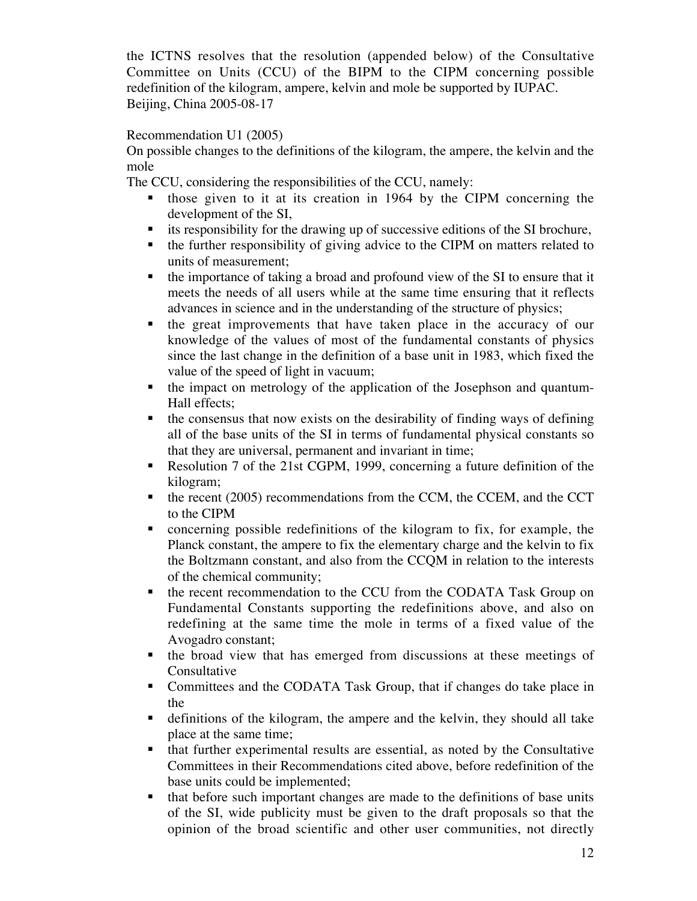the ICTNS resolves that the resolution (appended below) of the Consultative Committee on Units (CCU) of the BIPM to the CIPM concerning possible redefinition of the kilogram, ampere, kelvin and mole be supported by IUPAC. Beijing, China 2005-08-17

### Recommendation U1 (2005)

On possible changes to the definitions of the kilogram, the ampere, the kelvin and the mole

The CCU, considering the responsibilities of the CCU, namely:

- those given to it at its creation in 1964 by the CIPM concerning the development of the SI,
- its responsibility for the drawing up of successive editions of the SI brochure,
- the further responsibility of giving advice to the CIPM on matters related to units of measurement;
- the importance of taking a broad and profound view of the SI to ensure that it meets the needs of all users while at the same time ensuring that it reflects advances in science and in the understanding of the structure of physics;
- the great improvements that have taken place in the accuracy of our knowledge of the values of most of the fundamental constants of physics since the last change in the definition of a base unit in 1983, which fixed the value of the speed of light in vacuum;
- the impact on metrology of the application of the Josephson and quantum-Hall effects;
- $\blacksquare$  the consensus that now exists on the desirability of finding ways of defining all of the base units of the SI in terms of fundamental physical constants so that they are universal, permanent and invariant in time;
- Resolution 7 of the 21st CGPM, 1999, concerning a future definition of the kilogram;
- $\blacksquare$  the recent (2005) recommendations from the CCM, the CCEM, and the CCT to the CIPM
- concerning possible redefinitions of the kilogram to fix, for example, the Planck constant, the ampere to fix the elementary charge and the kelvin to fix the Boltzmann constant, and also from the CCQM in relation to the interests of the chemical community;
- the recent recommendation to the CCU from the CODATA Task Group on Fundamental Constants supporting the redefinitions above, and also on redefining at the same time the mole in terms of a fixed value of the Avogadro constant;
- the broad view that has emerged from discussions at these meetings of Consultative
- Committees and the CODATA Task Group, that if changes do take place in the
- definitions of the kilogram, the ampere and the kelvin, they should all take place at the same time;
- that further experimental results are essential, as noted by the Consultative Committees in their Recommendations cited above, before redefinition of the base units could be implemented;
- that before such important changes are made to the definitions of base units of the SI, wide publicity must be given to the draft proposals so that the opinion of the broad scientific and other user communities, not directly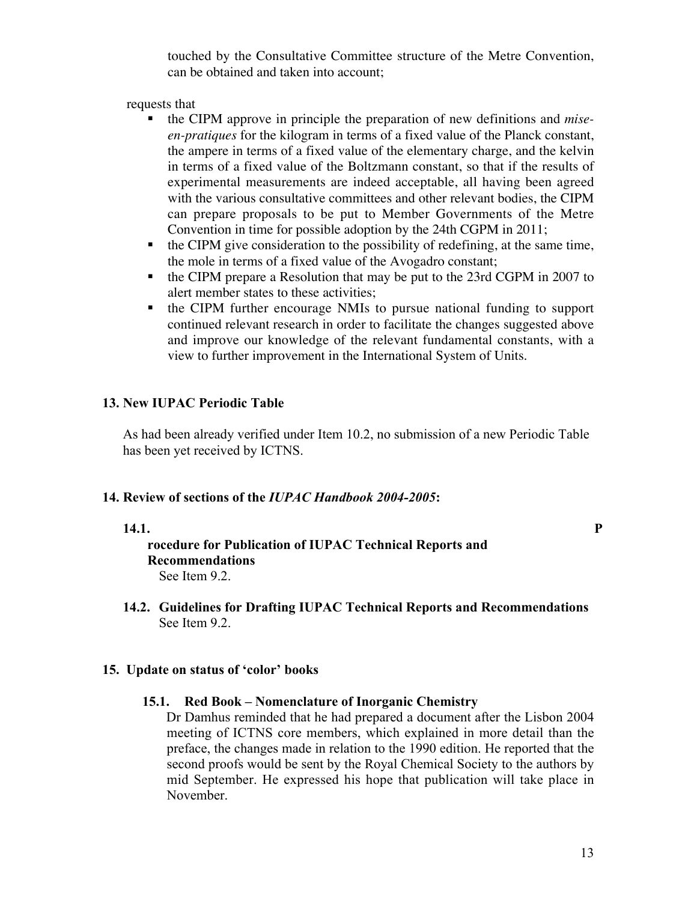touched by the Consultative Committee structure of the Metre Convention, can be obtained and taken into account;

requests that

- the CIPM approve in principle the preparation of new definitions and *miseen-pratiques* for the kilogram in terms of a fixed value of the Planck constant, the ampere in terms of a fixed value of the elementary charge, and the kelvin in terms of a fixed value of the Boltzmann constant, so that if the results of experimental measurements are indeed acceptable, all having been agreed with the various consultative committees and other relevant bodies, the CIPM can prepare proposals to be put to Member Governments of the Metre Convention in time for possible adoption by the 24th CGPM in 2011;
- $\bullet$  the CIPM give consideration to the possibility of redefining, at the same time, the mole in terms of a fixed value of the Avogadro constant;
- the CIPM prepare a Resolution that may be put to the 23rd CGPM in 2007 to alert member states to these activities;
- the CIPM further encourage NMIs to pursue national funding to support continued relevant research in order to facilitate the changes suggested above and improve our knowledge of the relevant fundamental constants, with a view to further improvement in the International System of Units.

### 13. New IUPAC Periodic Table

As had been already verified under Item 10.2, no submission of a new Periodic Table has been yet received by ICTNS.

### 14. Review of sections of the *IUPAC Handbook 2004-2005*:

### 14.1. P

### rocedure for Publication of IUPAC Technical Reports and Recommendations See Item 9.2.

14.2. Guidelines for Drafting IUPAC Technical Reports and Recommendations See Item 9.2.

### 15. Update on status of 'color' books

### 15.1. Red Book – Nomenclature of Inorganic Chemistry

Dr Damhus reminded that he had prepared a document after the Lisbon 2004 meeting of ICTNS core members, which explained in more detail than the preface, the changes made in relation to the 1990 edition. He reported that the second proofs would be sent by the Royal Chemical Society to the authors by mid September. He expressed his hope that publication will take place in November.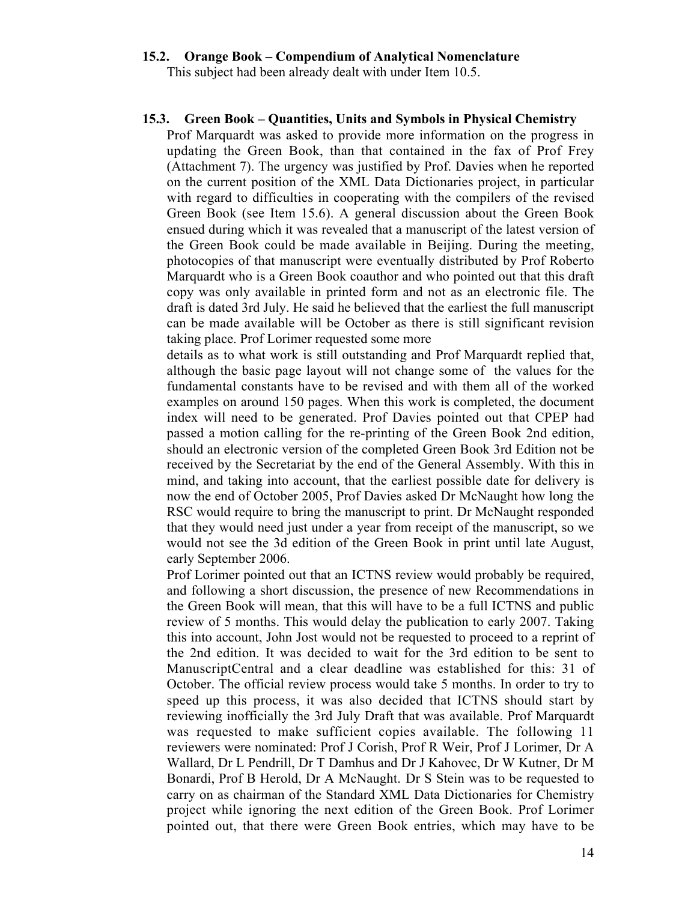# 15.2. Orange Book – Compendium of Analytical Nomenclature

This subject had been already dealt with under Item 10.5.

#### 15.3. Green Book – Quantities, Units and Symbols in Physical Chemistry

Prof Marquardt was asked to provide more information on the progress in updating the Green Book, than that contained in the fax of Prof Frey (Attachment 7). The urgency was justified by Prof. Davies when he reported on the current position of the XML Data Dictionaries project, in particular with regard to difficulties in cooperating with the compilers of the revised Green Book (see Item 15.6). A general discussion about the Green Book ensued during which it was revealed that a manuscript of the latest version of the Green Book could be made available in Beijing. During the meeting, photocopies of that manuscript were eventually distributed by Prof Roberto Marquardt who is a Green Book coauthor and who pointed out that this draft copy was only available in printed form and not as an electronic file. The draft is dated 3rd July. He said he believed that the earliest the full manuscript can be made available will be October as there is still significant revision taking place. Prof Lorimer requested some more

details as to what work is still outstanding and Prof Marquardt replied that, although the basic page layout will not change some of the values for the fundamental constants have to be revised and with them all of the worked examples on around 150 pages. When this work is completed, the document index will need to be generated. Prof Davies pointed out that CPEP had passed a motion calling for the re-printing of the Green Book 2nd edition, should an electronic version of the completed Green Book 3rd Edition not be received by the Secretariat by the end of the General Assembly. With this in mind, and taking into account, that the earliest possible date for delivery is now the end of October 2005, Prof Davies asked Dr McNaught how long the RSC would require to bring the manuscript to print. Dr McNaught responded that they would need just under a year from receipt of the manuscript, so we would not see the 3d edition of the Green Book in print until late August, early September 2006.

Prof Lorimer pointed out that an ICTNS review would probably be required, and following a short discussion, the presence of new Recommendations in the Green Book will mean, that this will have to be a full ICTNS and public review of 5 months. This would delay the publication to early 2007. Taking this into account, John Jost would not be requested to proceed to a reprint of the 2nd edition. It was decided to wait for the 3rd edition to be sent to ManuscriptCentral and a clear deadline was established for this: 31 of October. The official review process would take 5 months. In order to try to speed up this process, it was also decided that ICTNS should start by reviewing inofficially the 3rd July Draft that was available. Prof Marquardt was requested to make sufficient copies available. The following 11 reviewers were nominated: Prof J Corish, Prof R Weir, Prof J Lorimer, Dr A Wallard, Dr L Pendrill, Dr T Damhus and Dr J Kahovec, Dr W Kutner, Dr M Bonardi, Prof B Herold, Dr A McNaught. Dr S Stein was to be requested to carry on as chairman of the Standard XML Data Dictionaries for Chemistry project while ignoring the next edition of the Green Book. Prof Lorimer pointed out, that there were Green Book entries, which may have to be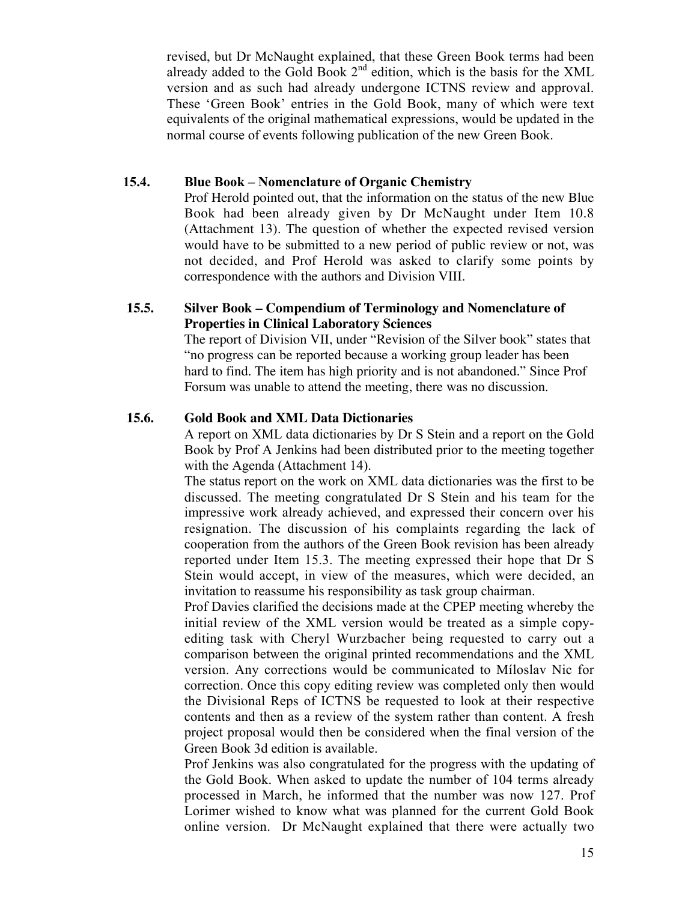revised, but Dr McNaught explained, that these Green Book terms had been already added to the Gold Book  $2<sup>nd</sup>$  edition, which is the basis for the XML version and as such had already undergone ICTNS review and approval. These 'Green Book' entries in the Gold Book, many of which were text equivalents of the original mathematical expressions, would be updated in the normal course of events following publication of the new Green Book.

### 15.4. Blue Book – Nomenclature of Organic Chemistry

Prof Herold pointed out, that the information on the status of the new Blue Book had been already given by Dr McNaught under Item 10.8 (Attachment 13). The question of whether the expected revised version would have to be submitted to a new period of public review or not, was not decided, and Prof Herold was asked to clarify some points by correspondence with the authors and Division VIII.

## **15.5. Silver Book – Compendium of Terminology and Nomenclature of Properties in Clinical Laboratory Sciences**

The report of Division VII, under "Revision of the Silver book" states that "no progress can be reported because a working group leader has been hard to find. The item has high priority and is not abandoned." Since Prof Forsum was unable to attend the meeting, there was no discussion.

## **15.6. Gold Book and XML Data Dictionaries**

A report on XML data dictionaries by Dr S Stein and a report on the Gold Book by Prof A Jenkins had been distributed prior to the meeting together with the Agenda (Attachment 14).

The status report on the work on XML data dictionaries was the first to be discussed. The meeting congratulated Dr S Stein and his team for the impressive work already achieved, and expressed their concern over his resignation. The discussion of his complaints regarding the lack of cooperation from the authors of the Green Book revision has been already reported under Item 15.3. The meeting expressed their hope that Dr S Stein would accept, in view of the measures, which were decided, an invitation to reassume his responsibility as task group chairman.

Prof Davies clarified the decisions made at the CPEP meeting whereby the initial review of the XML version would be treated as a simple copyediting task with Cheryl Wurzbacher being requested to carry out a comparison between the original printed recommendations and the XML version. Any corrections would be communicated to Míloslav Nic for correction. Once this copy editing review was completed only then would the Divisional Reps of ICTNS be requested to look at their respective contents and then as a review of the system rather than content. A fresh project proposal would then be considered when the final version of the Green Book 3d edition is available.

Prof Jenkins was also congratulated for the progress with the updating of the Gold Book. When asked to update the number of 104 terms already processed in March, he informed that the number was now 127. Prof Lorimer wished to know what was planned for the current Gold Book online version. Dr McNaught explained that there were actually two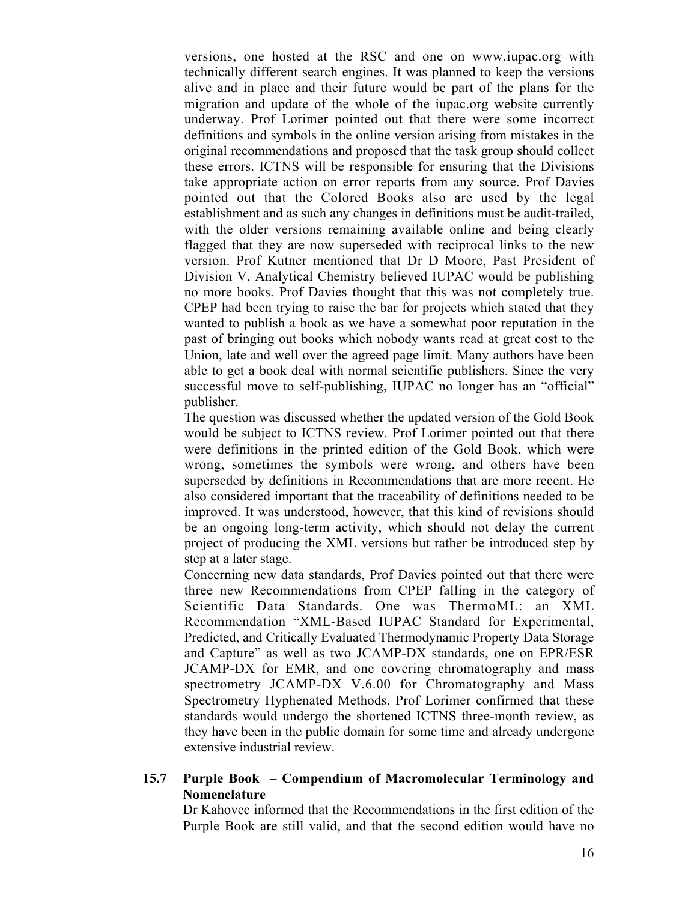versions, one hosted at the RSC and one on www.iupac.org with technically different search engines. It was planned to keep the versions alive and in place and their future would be part of the plans for the migration and update of the whole of the iupac.org website currently underway. Prof Lorimer pointed out that there were some incorrect definitions and symbols in the online version arising from mistakes in the original recommendations and proposed that the task group should collect these errors. ICTNS will be responsible for ensuring that the Divisions take appropriate action on error reports from any source. Prof Davies pointed out that the Colored Books also are used by the legal establishment and as such any changes in definitions must be audit-trailed, with the older versions remaining available online and being clearly flagged that they are now superseded with reciprocal links to the new version. Prof Kutner mentioned that Dr D Moore, Past President of Division V, Analytical Chemistry believed IUPAC would be publishing no more books. Prof Davies thought that this was not completely true. CPEP had been trying to raise the bar for projects which stated that they wanted to publish a book as we have a somewhat poor reputation in the past of bringing out books which nobody wants read at great cost to the Union, late and well over the agreed page limit. Many authors have been able to get a book deal with normal scientific publishers. Since the very successful move to self-publishing, IUPAC no longer has an "official" publisher.

The question was discussed whether the updated version of the Gold Book would be subject to ICTNS review. Prof Lorimer pointed out that there were definitions in the printed edition of the Gold Book, which were wrong, sometimes the symbols were wrong, and others have been superseded by definitions in Recommendations that are more recent. He also considered important that the traceability of definitions needed to be improved. It was understood, however, that this kind of revisions should be an ongoing long-term activity, which should not delay the current project of producing the XML versions but rather be introduced step by step at a later stage.

Concerning new data standards, Prof Davies pointed out that there were three new Recommendations from CPEP falling in the category of Scientific Data Standards. One was ThermoML: an XML Recommendation "XML-Based IUPAC Standard for Experimental, Predicted, and Critically Evaluated Thermodynamic Property Data Storage and Capture" as well as two JCAMP-DX standards, one on EPR/ESR JCAMP-DX for EMR, and one covering chromatography and mass spectrometry JCAMP-DX V.6.00 for Chromatography and Mass Spectrometry Hyphenated Methods. Prof Lorimer confirmed that these standards would undergo the shortened ICTNS three-month review, as they have been in the public domain for some time and already undergone extensive industrial review.

### 15.7 Purple Book – Compendium of Macromolecular Terminology and Nomenclature

Dr Kahovec informed that the Recommendations in the first edition of the Purple Book are still valid, and that the second edition would have no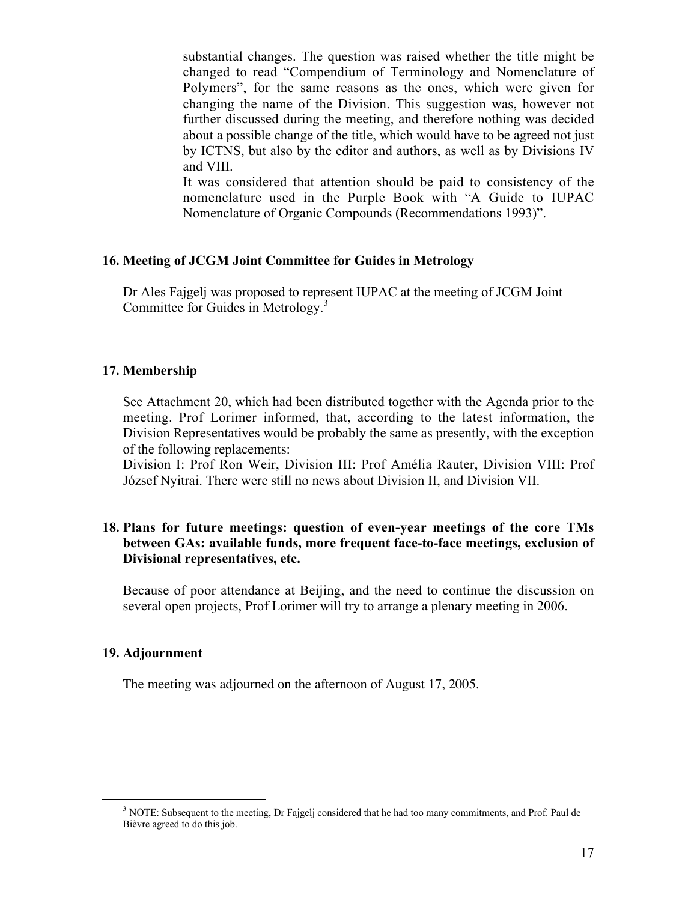substantial changes. The question was raised whether the title might be changed to read "Compendium of Terminology and Nomenclature of Polymers", for the same reasons as the ones, which were given for changing the name of the Division. This suggestion was, however not further discussed during the meeting, and therefore nothing was decided about a possible change of the title, which would have to be agreed not just by ICTNS, but also by the editor and authors, as well as by Divisions IV and VIII.

It was considered that attention should be paid to consistency of the nomenclature used in the Purple Book with "A Guide to IUPAC Nomenclature of Organic Compounds (Recommendations 1993)".

### 16. Meeting of JCGM Joint Committee for Guides in Metrology

Dr Ales Fajgelj was proposed to represent IUPAC at the meeting of JCGM Joint Committee for Guides in Metrology.<sup>3</sup>

### 17. Membership

See Attachment 20, which had been distributed together with the Agenda prior to the meeting. Prof Lorimer informed, that, according to the latest information, the Division Representatives would be probably the same as presently, with the exception of the following replacements:

Division I: Prof Ron Weir, Division III: Prof Amélia Rauter, Division VIII: Prof József Nyitrai. There were still no news about Division II, and Division VII.

### 18. Plans for future meetings: question of even-year meetings of the core TMs between GAs: available funds, more frequent face-to-face meetings, exclusion of Divisional representatives, etc.

Because of poor attendance at Beijing, and the need to continue the discussion on several open projects, Prof Lorimer will try to arrange a plenary meeting in 2006.

#### 19. Adjournment

The meeting was adjourned on the afternoon of August 17, 2005.

<sup>&</sup>lt;sup>3</sup> NOTE: Subsequent to the meeting, Dr Fajgelj considered that he had too many commitments, and Prof. Paul de Bièvre agreed to do this job.